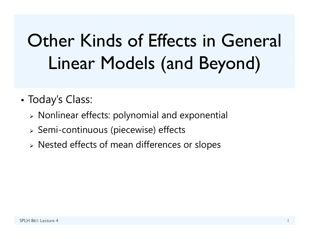# Other Kinds of Effects in General Linear Models (and Beyond)

- • Today's Class:
	- $\triangleright$  Nonlinear effects: polynomial and exponential
	- $\triangleright$  Semi-continuous (piecewise) effects
	- $\triangleright$  Nested effects of mean differences or slopes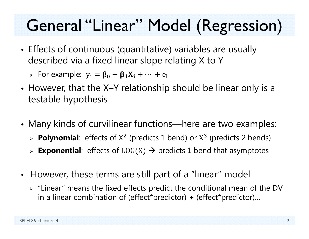## General "Linear" Model (Regression)

• Effects of continuous (quantitative) variables are usually described via a fixed linear slope relating X to Y

 $\triangleright$  For example:  $y_i = \beta_0 + \beta_1 X_i + \cdots + e_i$ 

- However, that the X–Y relationship should be linear only is a testable hypothesis
- • Many kinds of curvilinear functions—here are two examples:
	- **Polynomial**: effects of X  $2$  (predicts 1 bend) or X  $3$  (predicts 2 bends)
	- $\triangleright$  **Exponential**: effects of  $LOG(X) \rightarrow$  predicts 1 bend that asymptotes
- • However, these terms are still part of a "linear" model
	- $\triangleright$  "Linear" means the fixed effects predict the conditional mean of the DV in a linear combination of (effect\*predictor) + (effect\*predictor)…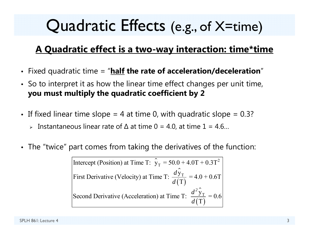### Quadratic Effects (e.g., of X=time)

#### **A Quadratic effect is a two-way interaction: time\*time**

- Fixed quadratic time = "**half the rate of acceleration/deceleration** "
- So to interpret it as how the linear time effect changes per unit time, **you must multiply the quadratic coefficient by 2**
- $\bullet~$  If fixed linear time slope = 4 at time 0, with quadratic slope = 0.3?
	- Instantaneous linear rate of ∆ at time 0 = 4.0, at time 1 = 4.6…
- The "twice" part comes from taking the derivatives of the function:

⌒ Intercept (Position) at Time T:  $\hat{y}_T = 50.0 + 4.0T + 0.3T^2$ ⌒  $(\mathrm{T})$ ㅅ  $(\mathrm{T})$ T T First Derivative (Velocity) at Time T:  $\frac{dy_T}{d(T)} = 4.0 + 0.6T$ Second Derivative (Acceleration) at Time T:  $\frac{d^2 y_T}{d(T)} = 0.6$  $d^2$ *d d d*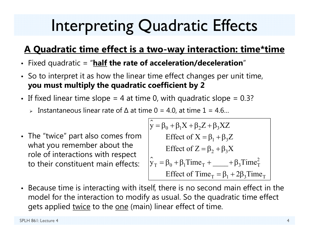## Interpreting Quadratic Effects

#### **A Quadratic time effect is a two-way interaction: time\*time**

- Fixed quadratic = "**half the rate of acceleration/deceleration** "
- So to interpret it as how the linear time effect changes per unit time, **you must multiply the quadratic coefficient by 2**
- If fixed linear time slope = 4 at time 0, with quadratic slope = 0.3?  $\,$ 
	- Instantaneous linear rate of ∆ at time 0 = 4.0, at time 1 = 4.6…
- The "twice" part also comes from what you remember about the role of interactions with respect to their constituent main effects:

ᄉ  $y = \beta_0 + \beta_1 X + \beta_2 Z + \beta_3 XZ$ ⌒  $\hat{y}_T = \beta_0 + \beta_1$ Time<sub>T</sub> + \_\_\_\_\_ +  $\beta_3$ Time<sup>2</sup><sub>T</sub> Effect of  $X = \beta_1 + \beta_3 Z$ Effect of  $Z = \beta_2 + \beta_3 X$ Effect of Time<sub>T</sub> =  $\beta_1$  + 2 $\beta_3$ Time<sub>T</sub>

• Because time is interacting with itself, there is no second main effect in the model for the interaction to modify as usual. So the quadratic time effect gets applied twice to the one (main) linear effect of time.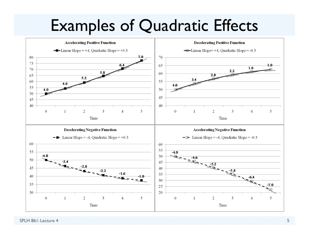#### Examples of Quadratic Effects



SPLH 861: Lecture 4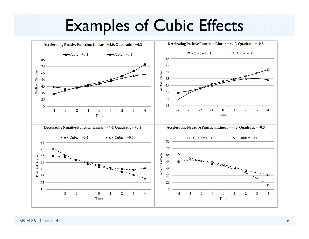#### Examples of Cubic Effects

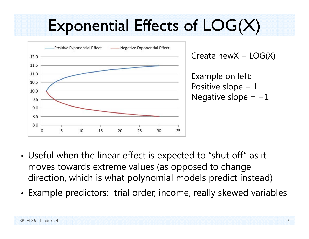## Exponential Effects of LOG(X)



- • Useful when the linear effect is expected to "shut off" as it moves towards extreme values (as opposed to change direction, which is what polynomial models predict instead)
- Example predictors: trial order, income, really skewed variables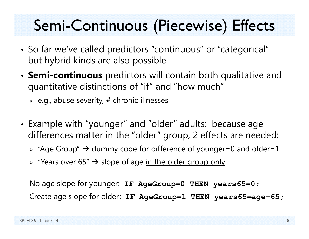### Semi-Continuous (Piecewise) Effects

- • So far we've called predictors "continuous" or "categorical" but hybrid kinds are also possible
- **Semi-continuous** predictors will contain both qualitative and quantitative distinctions of "if" and "how much"
	- $\triangleright$  e.g., abuse severity, # chronic illnesses
- Example with "younger" and "older" adults: because age differences matter in the "older" group, 2 effects are needed:
	- $\triangleright$  "Age Group"  $\rightarrow$  dummy code for difference of younger=0 and older=1
	- > "Years over 65" → slope of age <u>in the older group only</u>

No age slope for younger: **IF AgeGroup=0 THEN years65=0;** Create age slope for older: **IF AgeGroup=1 THEN years65=age <sup>−</sup>65;**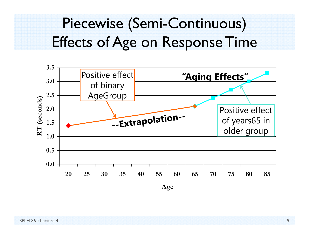#### Piecewise (Semi-Continuous) Effects of Age on Response Time

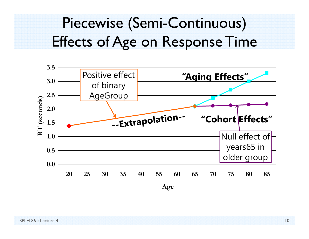#### Piecewise (Semi-Continuous) Effects of Age on Response Time

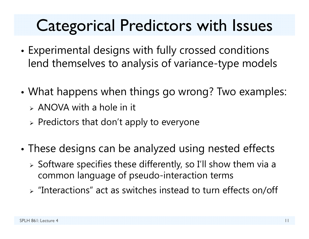### Categorical Predictors with Issues

- • Experimental designs with fully crossed conditions lend themselves to analysis of variance-type models
- • What happens when things go wrong? Two examples:
	- $\triangleright$  ANOVA with a hole in it
	- $\triangleright$  Predictors that don't apply to everyone
- • These designs can be analyzed using nested effects
	- $\triangleright$  Software specifies these differently, so I'll show them via a common language of pseudo-interaction terms
	- $\triangleright$  "Interactions" act as switches instead to turn effects on/off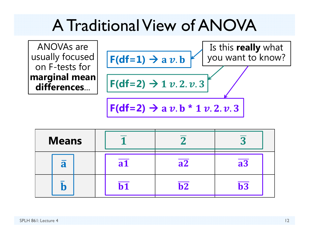#### A Traditional View of ANOVA

ANOVAs are usually focused on F-tests for **marginal mean differences**...



| <b>Means</b>            |           |                          | n               |
|-------------------------|-----------|--------------------------|-----------------|
| $\overline{\mathbf{a}}$ | <b>a1</b> | $\overline{a2}$          | $\overline{a3}$ |
|                         |           | $\overline{\mathbf{b2}}$ | $b3$            |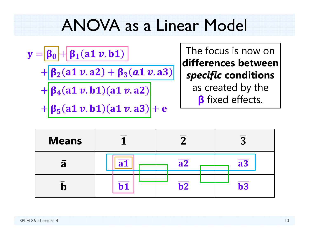#### ANOVA as a Linear Model

$$
y = \frac{\beta_0 + \beta_1(a1 v.b1)}{\beta_2(a1 v.a2) + \beta_3(a1 v.a3)}
$$
  
+ 
$$
\frac{\beta_4(a1 v.b1)(a1 v.a2)}{\beta_5(a1 v.b1)(a1 v.a3)}
$$

The focus is now on **differences between***specific* **conditions**  as created by the *β* fixed effects.

| <b>Means</b> |    | ∩                        | $\Omega$<br>N   |
|--------------|----|--------------------------|-----------------|
| a            | ◠  | $\overline{a2}$          | $\overline{a3}$ |
|              | h1 | $\overline{\mathbf{b2}}$ | $b3$            |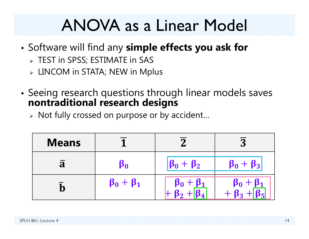### ANOVA as a Linear Model

- • Software will find any **simple effects you ask for**
	- $\triangleright$  TEST in SPSS; ESTIMATE in SAS
	- $\triangleright$  <code>LINCOM</code> in STATA; NEW in Mplus
- • Seeing research questions through linear models saves **nontraditional research designs**
	- $\triangleright$  Not fully crossed on purpose or by accident...

| <b>Means</b> |                        |                     | $\mathbf \Omega$               |
|--------------|------------------------|---------------------|--------------------------------|
| a            | $\boldsymbol{\beta_0}$ | $\beta_0 + \beta_2$ | $\beta_0 + \beta_3$            |
|              | $\beta_0 + \beta_1$    | $\beta_0 + \beta_1$ | $\beta_0$ +<br>$\beta_1$<br>פנ |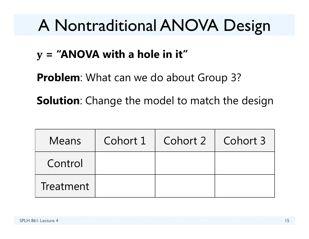## A Nontraditional ANOVA Design

#### **= "ANOVA with a hole in it"**

**Problem:** What can we do about Group 3?

**Solution**: Change the model to match the design

| <b>Means</b> | Cohort $1  $ Cohort $2  $ Cohort 3 |  |
|--------------|------------------------------------|--|
| Control      |                                    |  |
| Treatment    |                                    |  |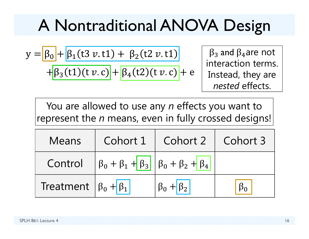## A Nontraditional ANOVA Design

$$
y = \beta_0 + \beta_1 (t3 v \cdot t1) + \beta_2 (t2 v \cdot t1)
$$

$$
+ \beta_3 (t1) (t v \cdot c) + \beta_4 (t2) (t v \cdot c) + \epsilon
$$

 $\beta_3$  and  $\beta_4$ are not interaction terms. Instead, they are *nested* effects.

You are allowed to use any *n* effects you want to represent the *n* means, even in fully crossed designs!

| <b>Means</b>                               |                                                                                             | Cohort 1   Cohort 2   Cohort 3 |  |
|--------------------------------------------|---------------------------------------------------------------------------------------------|--------------------------------|--|
|                                            | Control $\left \beta_0 + \beta_1 + \beta_3\right  \left \beta_0 + \beta_2 + \beta_4\right $ |                                |  |
| Treatment $\left \beta_0 + \beta_1\right $ |                                                                                             |                                |  |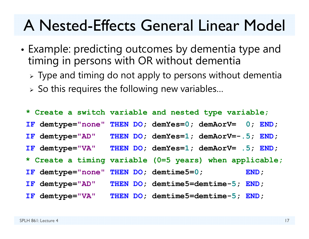#### A Nested-Effects General Linear Model

- • Example: predicting outcomes by dementia type and timing in persons with OR without dementia
	- $\triangleright$  Type and timing do not apply to persons without dementia
	- $\triangleright$  So this requires the following new variables...

**\* Create a switch variable and nested type variable; IF demtype="none" THEN DO; demYes= 0; demAorV= 0; END; IF demtype="AD" THEN DO; demYes=** THEN DO; demYes=1; demAorV=-.5; END; IF demtype="VA" **demtype="VA" THEN DO; demYes= 1; demAorV= .5; END; \* Create a timing variable (0=5 years) when applicable; IF demtype="none" THEN DO; demtime5= 0; END;** IF demtype="AD" **demtype="AD" THEN DO; demtime5=demtime-5; END;** IF demtype="VA" **demtype="VA" THEN DO; demtime5=demtime-5; END;**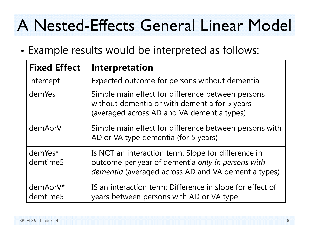## A Nested-Effects General Linear Model

•Example results would be interpreted as follows:

| <b>Fixed Effect</b>  | <b>Interpretation</b>                                                                                                                                           |
|----------------------|-----------------------------------------------------------------------------------------------------------------------------------------------------------------|
| Intercept            | Expected outcome for persons without dementia                                                                                                                   |
| demYes               | Simple main effect for difference between persons<br>without dementia or with dementia for 5 years<br>(averaged across AD and VA dementia types)                |
| demAorV              | Simple main effect for difference between persons with<br>AD or VA type dementia (for 5 years)                                                                  |
| demYes*<br>demtime5  | Is NOT an interaction term: Slope for difference in<br>outcome per year of dementia only in persons with<br>dementia (averaged across AD and VA dementia types) |
| demAorV*<br>demtime5 | IS an interaction term: Difference in slope for effect of<br>years between persons with AD or VA type                                                           |